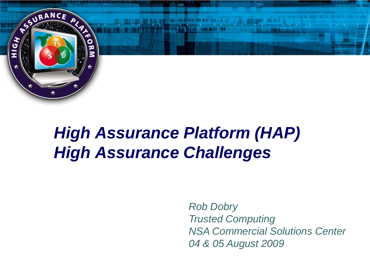

# *High Assurance Platform (HAP) High Assurance Challenges*

*Rob Dobry Trusted Computing NSA Commercial Solutions Center 04 & 05 August 2009*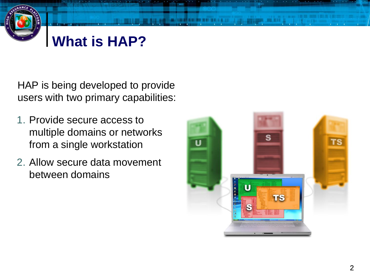

#### **What is HAP?**

HAP is being developed to provide users with two primary capabilities:

- 1. Provide secure access to multiple domains or networks from a single workstation
- 2. Allow secure data movement between domains

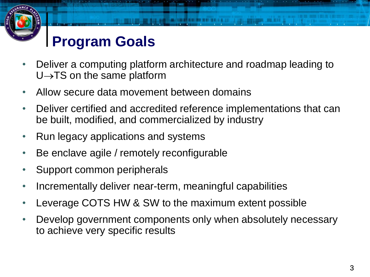

#### **Program Goals**

- Deliver a computing platform architecture and roadmap leading to  $U \rightarrow TS$  on the same platform
- Allow secure data movement between domains
- Deliver certified and accredited reference implementations that can be built, modified, and commercialized by industry
- Run legacy applications and systems
- Be enclave agile / remotely reconfigurable
- Support common peripherals
- Incrementally deliver near-term, meaningful capabilities
- Leverage COTS HW & SW to the maximum extent possible
- Develop government components only when absolutely necessary to achieve very specific results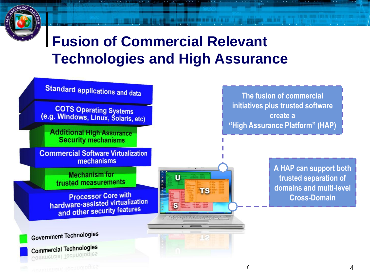

#### **Fusion of Commercial Relevant Technologies and High Assurance**

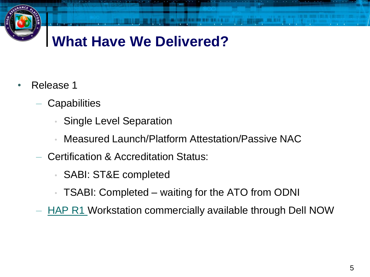

#### **What Have We Delivered?**

- Release 1
	- **Capabilities** 
		- **Single Level Separation**
		- Measured Launch/Platform Attestation/Passive NAC
	- Certification & Accreditation Status:
		- SABI: ST&E completed
		- TSABI: Completed waiting for the ATO from ODNI

**[HAP R1](http://www.gdc4s.com/content/detail.cfm?item=35a995b0-b3b7-4097-9324-2c50008b3a75&page=6) Workstation commercially available through Dell NOW**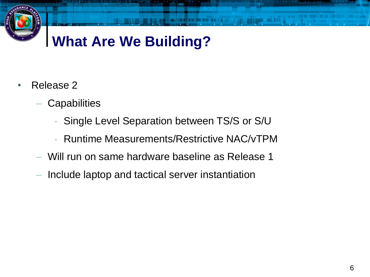

#### **What Are We Building?**

- Release 2
	- **Capabilities** 
		- Single Level Separation between TS/S or S/U
		- Runtime Measurements/Restrictive NAC/vTPM
	- Will run on same hardware baseline as Release 1
	- Include laptop and tactical server instantiation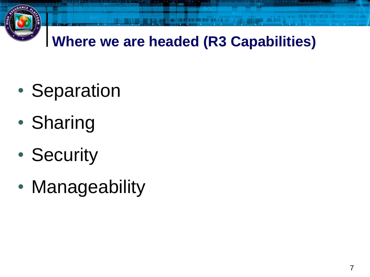

- Separation
- Sharing
- Security
- Manageability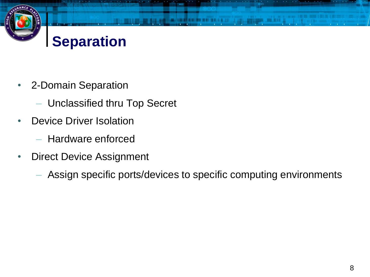

#### **Separation**

- 2-Domain Separation
	- Unclassified thru Top Secret
- **Device Driver Isolation** 
	- Hardware enforced
- **Direct Device Assignment** 
	- Assign specific ports/devices to specific computing environments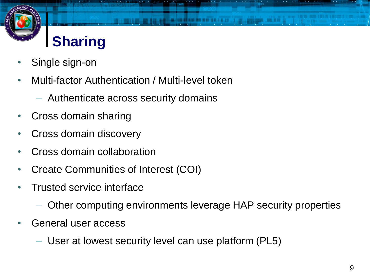

## **Sharing**

- Single sign-on
- Multi-factor Authentication / Multi-level token
	- Authenticate across security domains
- Cross domain sharing
- Cross domain discovery
- Cross domain collaboration
- Create Communities of Interest (COI)
- Trusted service interface
	- Other computing environments leverage HAP security properties
- General user access
	- User at lowest security level can use platform (PL5)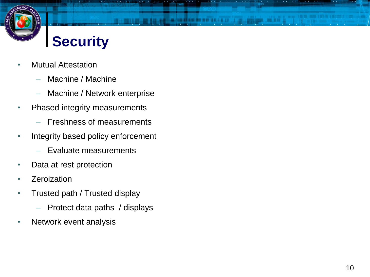

### **Security**

- **Mutual Attestation** 
	-
	- Machine / Machine Machine / Network enterprise
- Phased integrity measurements
	- Freshness of measurements
- Integrity based policy enforcement
	- Evaluate measurements
- Data at rest protection
- **Zeroization**
- Trusted path / Trusted display
	- Protect data paths / displays
- Network event analysis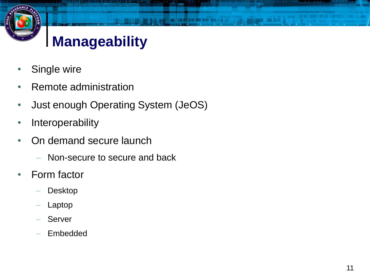

## **Manageability**

- Single wire
- Remote administration
- Just enough Operating System (JeOS)
- **Interoperability**
- On demand secure launch
	- Non-secure to secure and back
- Form factor
	- Desktop
	- Laptop
	- **Server**
	- Embedded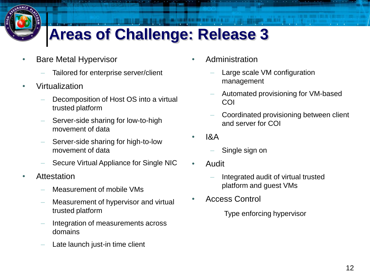

## **Areas of Challenge: Release 3**

- Bare Metal Hypervisor
	- Tailored for enterprise server/client
- Virtualization
	- Decomposition of Host OS into a virtual trusted platform
	- Server-side sharing for low-to-high movement of data
	- Server-side sharing for high-to-low movement of data
	- Secure Virtual Appliance for Single NIC
- Attestation
	- Measurement of mobile VMs
	- Measurement of hypervisor and virtual trusted platform
	- Integration of measurements across domains
	- Late launch just-in time client
- **Administration** 
	- Large scale VM configuration management
	- Automated provisioning for VM-based COI
	- Coordinated provisioning between client and server for COI
- $18A$ 
	- Single sign on
- Audit
	- Integrated audit of virtual trusted platform and guest VMs
- Access Control

Type enforcing hypervisor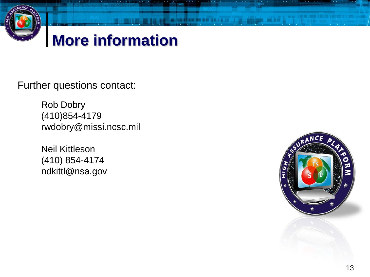

Further questions contact:

Rob Dobry (410)854-4179 rwdobry@missi.ncsc.mil

Neil Kittleson (410) 854-4174 ndkittl@nsa.gov